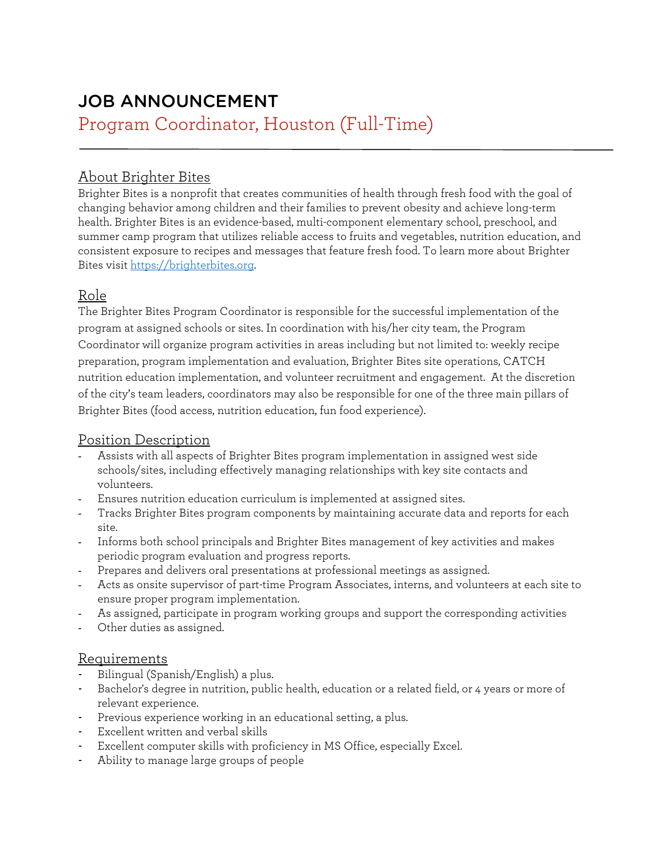# JOB ANNOUNCEMENT Program Coordinator, Houston (Full-Time)

# About Brighter Bites

Brighter Bites is a nonprofit that creates communities of health through fresh food with the goal of changing behavior among children and their families to prevent obesity and achieve long-term health. Brighter Bites is an evidence-based, multi-component elementary school, preschool, and summer camp program that utilizes reliable access to fruits and vegetables, nutrition education, and consistent exposure to recipes and messages that feature fresh food. To learn more about Brighter Bites visit [https://brighterbites.org.](https://brighterbites.org/) 

## Role

The Brighter Bites Program Coordinator is responsible for the successful implementation of the program at assigned schools or sites. In coordination with his/her city team, the Program Coordinator will organize program activities in areas including but not limited to: weekly recipe preparation, program implementation and evaluation, Brighter Bites site operations, CATCH nutrition education implementation, and volunteer recruitment and engagement. At the discretion of the city's team leaders, coordinators may also be responsible for one of the three main pillars of Brighter Bites (food access, nutrition education, fun food experience).

#### Position Description

- Assists with all aspects of Brighter Bites program implementation in assigned west side schools/sites, including effectively managing relationships with key site contacts and volunteers.
- Ensures nutrition education curriculum is implemented at assigned sites.
- Tracks Brighter Bites program components by maintaining accurate data and reports for each site.
- Informs both school principals and Brighter Bites management of key activities and makes periodic program evaluation and progress reports.
- Prepares and delivers oral presentations at professional meetings as assigned.
- Acts as onsite supervisor of part-time Program Associates, interns, and volunteers at each site to ensure proper program implementation.
- As assigned, participate in program working groups and support the corresponding activities
- Other duties as assigned.

#### Requirements

- Bilingual (Spanish/English) a plus.
- Bachelor's degree in nutrition, public health, education or a related field, or 4 years or more of relevant experience.
- Previous experience working in an educational setting, a plus.
- Excellent written and verbal skills
- Excellent computer skills with proficiency in MS Office, especially Excel.
- Ability to manage large groups of people